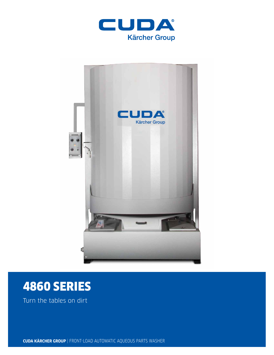



# 4860 SERIES

Turn the tables on dirt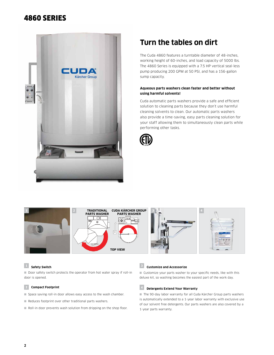## 4860 SERIES



# **Turn the tables on dirt**

The Cuda 4860 features a turntable diameter of 48-inches, working height of 60-inches, and load capacity of 5000 lbs. The 4860 Series is equipped with a 7.5 HP vertical seal-less pump producing 200 GPM at 50 PSI, and has a 156-gallon sump capacity.

#### **Aqueous parts washers clean faster and better without using harmful solvents!**

Cuda automatic parts washers provide a safe and efficient solution to cleaning parts because they don't use harmful cleaning solvents to clean. Our automatic parts washers also provide a time-saving, easy parts cleaning solution for your staff allowing them to simultaneously clean parts while performing other tasks.





#### **<sup>1</sup> Safety Switch**

■ Door safety switch protects the operator from hot water spray if roll-in door is opened.

#### **2 Compact Footprint**

- Space saving roll-in door allows easy access to the wash chamber.
- Reduces footprint over other traditional parts washers.
- Roll-in door prevents wash solution from dripping on the shop floor.

### **<sup>3</sup> Customize and Accessorize**

■ Customize your parts washer to your specific needs, like with this deluxe kit, so washing becomes the easiest part of the work day.

### **<sup>4</sup> Detergents Extend Your Warranty**

■ The 90-day labor warranty for all Cuda Kärcher Group parts washers is automatically extended to a 1-year labor warranty with exclusive use of our solvent free detergents. Our parts washers are also covered by a 1-year parts warranty.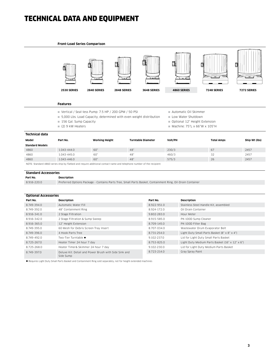# TECHNICAL DATA AND EQUIPMENT

#### **Front-Load Series Comparison**



#### **Features**

- Vertical / Seal-less Pump: 7.5 HP / 200 GPM / 50 PSI
- 5,000 Lbs. Load Capacity, determined with even weight distribution
- 156 Gal. Sump Capacity
- $(2)$  9 kW Heaters
- Automatic Oil Skimmer
- Low Water Shutdown
- Optional 12" Height Extension
- $M$ Machine: 75"L x 66"W x 105"H

| Technical data         |                       |                           |         |                   |               |  |  |
|------------------------|-----------------------|---------------------------|---------|-------------------|---------------|--|--|
| Model<br>Part No.      | <b>Working Height</b> | <b>Turntable Diameter</b> | Volt/PH | <b>Total Amps</b> | Ship Wt (lbs) |  |  |
| <b>Standard Models</b> |                       |                           |         |                   |               |  |  |
| 4860<br>1.043-444.0    | 60"                   | 48"                       | 230/3   | 67                | 2457          |  |  |
| 4860<br>1.043-445.0    | 60"                   | 48"                       | 460/3   | 32                | 2457          |  |  |
| 4860<br>1.043-446.0    | 60"                   | 48"                       | 575/3   | 26                | 2457          |  |  |

NOTE: Standard 4860 series ship by flatbed and require additional contact name and telephone number of the recipient.

| <b>Standard Accessories</b> |                                                                                                            |  |  |  |
|-----------------------------|------------------------------------------------------------------------------------------------------------|--|--|--|
| Part No.                    | Description                                                                                                |  |  |  |
| 8.916-220.0                 | Preferred Options Package - Contains Parts Tree, Small Parts Basket, Containment Ring, Oil-Drain Container |  |  |  |

| <b>Optional Accessories</b> |                                                       |             |                                                 |  |  |  |
|-----------------------------|-------------------------------------------------------|-------------|-------------------------------------------------|--|--|--|
| Part No.                    | Description                                           | Part No.    | <b>Description</b>                              |  |  |  |
| 8.749-394.0                 | Automatic Water Fill                                  | 8.922-951.0 | Stainless Steel Handle Kit, assembled           |  |  |  |
| 8.749-392.0                 | 48" Containment Ring                                  | 8.924-172.0 | Oil Drain Container                             |  |  |  |
| 8.916-341.0                 | 2 Stage Filtration                                    | 9.802-283.0 | Hour Meter                                      |  |  |  |
| 8.916-342.0                 | 2 Stage Filtration & Sump Sweep                       | 8.915-585.0 | PK-100D Sump Cleaner                            |  |  |  |
| 8.916-365.0                 | 12" Height Extension                                  | 8.709-145.0 | PK-100D Filter Bag                              |  |  |  |
| 8.749-395.0                 | 60 Mesh for Debris Screen Tray Insert                 | 8.707-034.0 | Wastewater Drum Evaporator Belt                 |  |  |  |
| 8.749-396.0                 | 4 Hook Parts Tree                                     | 8.731-254.0 | Light Duty Small Parts Basket (8" x 8" x 4")    |  |  |  |
| 8.749-492.0                 | Two-Tier Turntable .                                  | 9.102-237.0 | Lid for Light Duty Small Parts Basket           |  |  |  |
| 8.725-267.0                 | Heater Timer 24 hour 7 day                            | 8.753-825.0 | Light Duty Medium Parts Basket (16" x 12" x 6") |  |  |  |
| 8.725-268.0                 | Heater Timer& Skimmer 24 hour 7 day                   | 9.102-230.0 | Lid for Light Duty Medium Parts Basket          |  |  |  |
| 8.749-397.0                 | Deluxe Kit: Detail and Power Brush with Side Sink and | 8.723-214.0 | Gray Spray Paint                                |  |  |  |
|                             | Side Sump                                             |             |                                                 |  |  |  |

l Requires Light Duty Small Parts Basket and Containment Ring sold separately, not for height extended machines